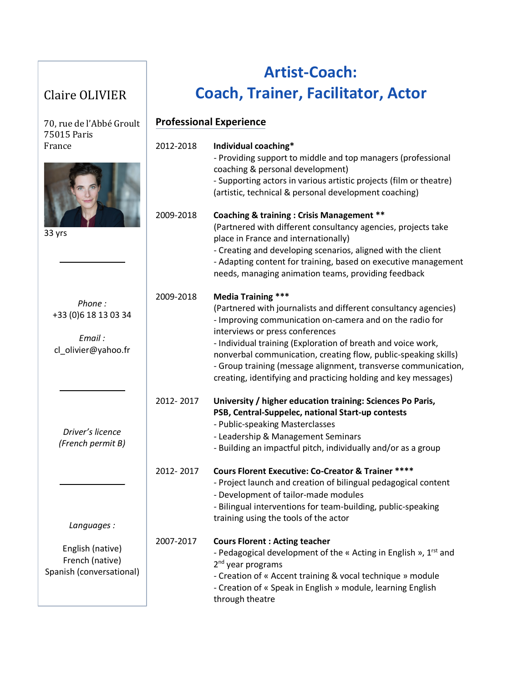## Claire OLIVIER

## **Artist-Coach: Coach, Trainer, Facilitator, Actor**

| 70, rue de l'Abbé Groult                                         | <b>Professional Experience</b> |                                                                                                                                                                                                                                                                                                                                                                                                                                                                    |  |
|------------------------------------------------------------------|--------------------------------|--------------------------------------------------------------------------------------------------------------------------------------------------------------------------------------------------------------------------------------------------------------------------------------------------------------------------------------------------------------------------------------------------------------------------------------------------------------------|--|
| 75015 Paris<br>France<br>33 yrs                                  | 2012-2018                      | Individual coaching*<br>- Providing support to middle and top managers (professional<br>coaching & personal development)<br>- Supporting actors in various artistic projects (film or theatre)<br>(artistic, technical & personal development coaching)                                                                                                                                                                                                            |  |
|                                                                  | 2009-2018                      | <b>Coaching &amp; training: Crisis Management **</b><br>(Partnered with different consultancy agencies, projects take<br>place in France and internationally)<br>- Creating and developing scenarios, aligned with the client<br>- Adapting content for training, based on executive management<br>needs, managing animation teams, providing feedback                                                                                                             |  |
| Phone:<br>+33 (0) 6 18 13 03 34<br>Email:<br>cl_olivier@yahoo.fr | 2009-2018                      | <b>Media Training ***</b><br>(Partnered with journalists and different consultancy agencies)<br>- Improving communication on-camera and on the radio for<br>interviews or press conferences<br>- Individual training (Exploration of breath and voice work,<br>nonverbal communication, creating flow, public-speaking skills)<br>- Group training (message alignment, transverse communication,<br>creating, identifying and practicing holding and key messages) |  |
| Driver's licence<br>(French permit B)                            | 2012-2017                      | University / higher education training: Sciences Po Paris,<br>PSB, Central-Suppelec, national Start-up contests<br>- Public-speaking Masterclasses<br>- Leadership & Management Seminars<br>- Building an impactful pitch, individually and/or as a group                                                                                                                                                                                                          |  |
| Languages:                                                       | 2012-2017                      | <b>Cours Florent Executive: Co-Creator &amp; Trainer ****</b><br>- Project launch and creation of bilingual pedagogical content<br>- Development of tailor-made modules<br>- Bilingual interventions for team-building, public-speaking<br>training using the tools of the actor                                                                                                                                                                                   |  |
| English (native)<br>French (native)<br>Spanish (conversational)  | 2007-2017                      | <b>Cours Florent: Acting teacher</b><br>- Pedagogical development of the « Acting in English », 1 <sup>rst</sup> and<br>2 <sup>nd</sup> year programs<br>- Creation of « Accent training & vocal technique » module<br>- Creation of « Speak in English » module, learning English<br>through theatre                                                                                                                                                              |  |